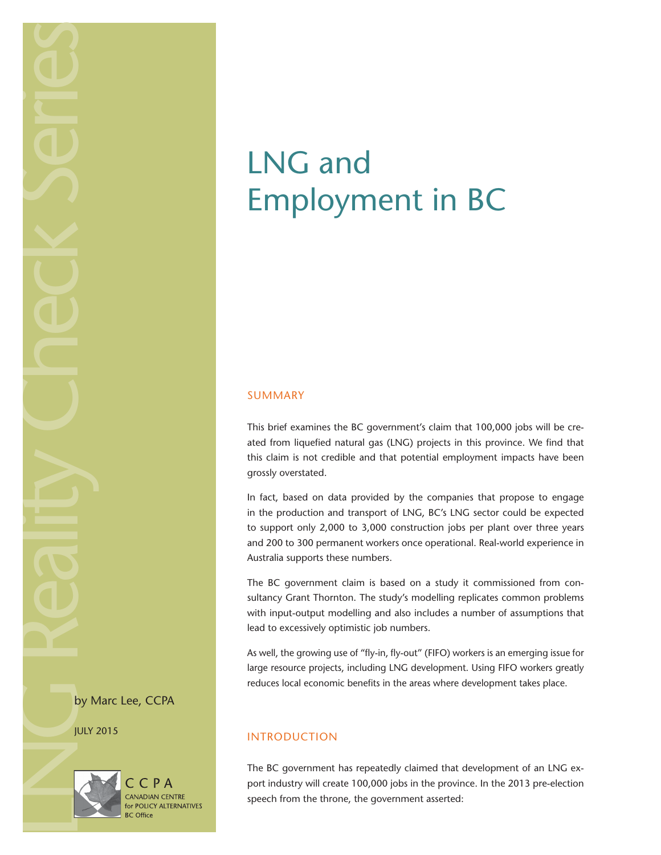LOCK Series CRANGER REALITIES

by Marc Lee, CCPA

JULY 2015



# CPA **CANADIAN CENTRE** for POLICY ALTERNATIVES

# LNG and Employment in BC

# SUMMARY

This brief examines the BC government's claim that 100,000 jobs will be created from liquefied natural gas (LNG) projects in this province. We find that this claim is not credible and that potential employment impacts have been grossly overstated.

In fact, based on data provided by the companies that propose to engage in the production and transport of LNG, BC's LNG sector could be expected to support only 2,000 to 3,000 construction jobs per plant over three years and 200 to 300 permanent workers once operational. Real-world experience in Australia supports these numbers.

The BC government claim is based on a study it commissioned from consultancy Grant Thornton. The study's modelling replicates common problems with input-output modelling and also includes a number of assumptions that lead to excessively optimistic job numbers.

As well, the growing use of "fly-in, fly-out" (FIFO) workers is an emerging issue for large resource projects, including LNG development. Using FIFO workers greatly reduces local economic benefits in the areas where development takes place.

# INTRODUCTION

The BC government has repeatedly claimed that development of an LNG export industry will create 100,000 jobs in the province. In the 2013 pre-election speech from the throne, the government asserted: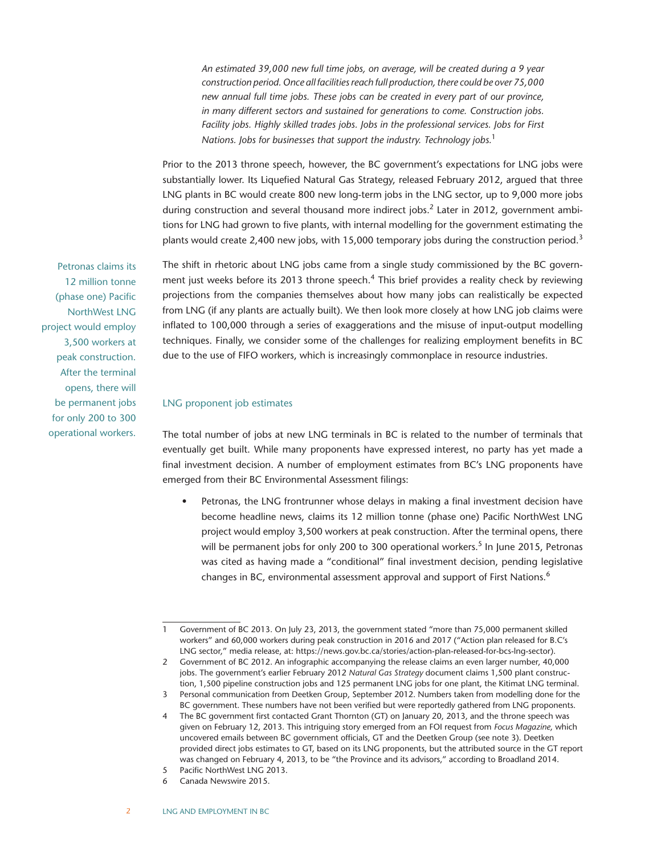*An estimated 39,000 new full time jobs, on average, will be created during a 9 year construction period. Once all facilities reach full production, there could be over 75,000 new annual full time jobs. These jobs can be created in every part of our province, in many different sectors and sustained for generations to come. Construction jobs. Facility jobs. Highly skilled trades jobs. Jobs in the professional services. Jobs for First Nations. Jobs for businesses that support the industry. Technology jobs.*<sup>1</sup>

Prior to the 2013 throne speech, however, the BC government's expectations for LNG jobs were substantially lower. Its Liquefied Natural Gas Strategy, released February 2012, argued that three LNG plants in BC would create 800 new long-term jobs in the LNG sector, up to 9,000 more jobs during construction and several thousand more indirect jobs.<sup>2</sup> Later in 2012, government ambitions for LNG had grown to five plants, with internal modelling for the government estimating the plants would create 2,400 new jobs, with 15,000 temporary jobs during the construction period.<sup>3</sup>

The shift in rhetoric about LNG jobs came from a single study commissioned by the BC government just weeks before its 2013 throne speech.<sup>4</sup> This brief provides a reality check by reviewing projections from the companies themselves about how many jobs can realistically be expected from LNG (if any plants are actually built). We then look more closely at how LNG job claims were inflated to 100,000 through a series of exaggerations and the misuse of input-output modelling techniques. Finally, we consider some of the challenges for realizing employment benefits in BC due to the use of FIFO workers, which is increasingly commonplace in resource industries.

## LNG proponent job estimates

The total number of jobs at new LNG terminals in BC is related to the number of terminals that eventually get built. While many proponents have expressed interest, no party has yet made a final investment decision. A number of employment estimates from BC's LNG proponents have emerged from their BC Environmental Assessment filings:

• Petronas, the LNG frontrunner whose delays in making a final investment decision have become headline news, claims its 12 million tonne (phase one) Pacific NorthWest LNG project would employ 3,500 workers at peak construction. After the terminal opens, there will be permanent jobs for only 200 to 300 operational workers.<sup>5</sup> In June 2015, Petronas was cited as having made a "conditional" final investment decision, pending legislative changes in BC, environmental assessment approval and support of First Nations.<sup>6</sup>

Petronas claims its 12 million tonne (phase one) Pacific NorthWest LNG project would employ 3,500 workers at peak construction. After the terminal opens, there will be permanent jobs for only 200 to 300 operational workers.

<sup>1</sup> Government of BC 2013. On July 23, 2013, the government stated "more than 75,000 permanent skilled workers" and 60,000 workers during peak construction in 2016 and 2017 ("Action plan released for B.C's LNG sector," media release, at: https://news.gov.bc.ca/stories/action-plan-released-for-bcs-lng-sector).

<sup>2</sup> Government of BC 2012. An infographic accompanying the release claims an even larger number, 40,000 jobs. The government's earlier February 2012 *Natural Gas Strategy* document claims 1,500 plant construction, 1,500 pipeline construction jobs and 125 permanent LNG jobs for one plant, the Kitimat LNG terminal.

<sup>3</sup> Personal communication from Deetken Group, September 2012. Numbers taken from modelling done for the BC government. These numbers have not been verified but were reportedly gathered from LNG proponents.

<sup>4</sup> The BC government first contacted Grant Thornton (GT) on January 20, 2013, and the throne speech was given on February 12, 2013. This intriguing story emerged from an FOI request from *Focus Magazine*, which uncovered emails between BC government officials, GT and the Deetken Group (see note 3). Deetken provided direct jobs estimates to GT, based on its LNG proponents, but the attributed source in the GT report was changed on February 4, 2013, to be "the Province and its advisors," according to Broadland 2014.

<sup>5</sup> Pacific NorthWest LNG 2013.

<sup>6</sup> Canada Newswire 2015.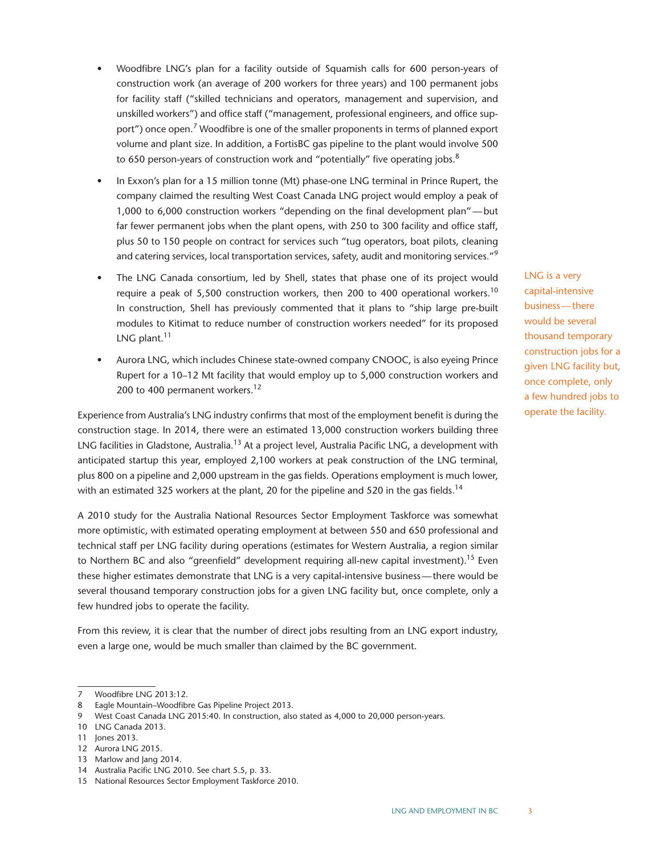- Woodfibre LNG's plan for a facility outside of Squamish calls for 600 person-years of construction work (an average of 200 workers for three years) and 100 permanent jobs for facility staff ("skilled technicians and operators, management and supervision, and unskilled workers") and office staff ("management, professional engineers, and office support") once open.<sup>7</sup> Woodfibre is one of the smaller proponents in terms of planned export volume and plant size. In addition, a FortisBC gas pipeline to the plant would involve 500 to 650 person-years of construction work and "potentially" five operating jobs. $8$
- In Exxon's plan for a 15 million tonne (Mt) phase-one LNG terminal in Prince Rupert, the company claimed the resulting West Coast Canada LNG project would employ a peak of 1,000 to 6,000 construction workers "depending on the final development plan"—but far fewer permanent jobs when the plant opens, with 250 to 300 facility and office staff, plus 50 to 150 people on contract for services such "tug operators, boat pilots, cleaning and catering services, local transportation services, safety, audit and monitoring services."<sup>9</sup>
- The LNG Canada consortium, led by Shell, states that phase one of its project would require a peak of 5,500 construction workers, then 200 to 400 operational workers.<sup>10</sup> In construction, Shell has previously commented that it plans to "ship large pre-built modules to Kitimat to reduce number of construction workers needed" for its proposed LNG plant.<sup>11</sup>
- Aurora LNG, which includes Chinese state-owned company CNOOC, is also eyeing Prince Rupert for a 10–12 Mt facility that would employ up to 5,000 construction workers and 200 to 400 permanent workers.<sup>12</sup>

Experience from Australia's LNG industry confirms that most of the employment benefit is during the construction stage. In 2014, there were an estimated 13,000 construction workers building three LNG facilities in Gladstone, Australia.<sup>13</sup> At a project level, Australia Pacific LNG, a development with anticipated startup this year, employed 2,100 workers at peak construction of the LNG terminal, plus 800 on a pipeline and 2,000 upstream in the gas fields. Operations employment is much lower, with an estimated 325 workers at the plant, 20 for the pipeline and 520 in the gas fields.<sup>14</sup>

A 2010 study for the Australia National Resources Sector Employment Taskforce was somewhat more optimistic, with estimated operating employment at between 550 and 650 professional and technical staff per LNG facility during operations (estimates for Western Australia, a region similar to Northern BC and also "greenfield" development requiring all-new capital investment).<sup>15</sup> Even these higher estimates demonstrate that LNG is a very capital-intensive business—there would be several thousand temporary construction jobs for a given LNG facility but, once complete, only a few hundred jobs to operate the facility.

From this review, it is clear that the number of direct jobs resulting from an LNG export industry, even a large one, would be much smaller than claimed by the BC government.

LNG is a very capital-intensive business—there would be several thousand temporary construction jobs for a given LNG facility but, once complete, only a few hundred jobs to operate the facility.

<sup>7</sup> Woodfibre LNG 2013:12.

<sup>8</sup> Eagle Mountain–Woodfibre Gas Pipeline Project 2013.

<sup>9</sup> West Coast Canada LNG 2015:40. In construction, also stated as 4,000 to 20,000 person-years.

<sup>10</sup> LNG Canada 2013.

<sup>11</sup> Jones 2013.

<sup>12</sup> Aurora LNG 2015.

<sup>13</sup> Marlow and Jang 2014.

<sup>14</sup> Australia Pacific LNG 2010. See chart 5.5, p. 33.

<sup>15</sup> National Resources Sector Employment Taskforce 2010.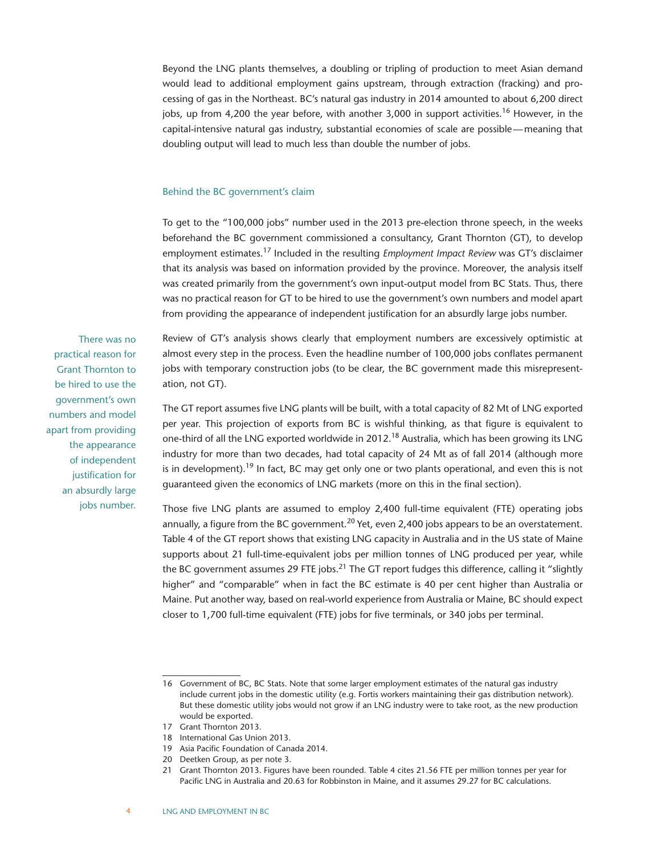Beyond the LNG plants themselves, a doubling or tripling of production to meet Asian demand would lead to additional employment gains upstream, through extraction (fracking) and processing of gas in the Northeast. BC's natural gas industry in 2014 amounted to about 6,200 direct jobs, up from 4,200 the year before, with another 3,000 in support activities.<sup>16</sup> However, in the capital-intensive natural gas industry, substantial economies of scale are possible—meaning that doubling output will lead to much less than double the number of jobs.

#### Behind the BC government's claim

To get to the "100,000 jobs" number used in the 2013 pre-election throne speech, in the weeks beforehand the BC government commissioned a consultancy, Grant Thornton (GT), to develop employment estimates.17 Included in the resulting *Employment Impact Review* was GT's disclaimer that its analysis was based on information provided by the province. Moreover, the analysis itself was created primarily from the government's own input-output model from BC Stats. Thus, there was no practical reason for GT to be hired to use the government's own numbers and model apart from providing the appearance of independent justification for an absurdly large jobs number.

Review of GT's analysis shows clearly that employment numbers are excessively optimistic at almost every step in the process. Even the headline number of 100,000 jobs conflates permanent jobs with temporary construction jobs (to be clear, the BC government made this misrepresentation, not GT).

The GT report assumes five LNG plants will be built, with a total capacity of 82 Mt of LNG exported per year. This projection of exports from BC is wishful thinking, as that figure is equivalent to one-third of all the LNG exported worldwide in 2012.<sup>18</sup> Australia, which has been growing its LNG industry for more than two decades, had total capacity of 24 Mt as of fall 2014 (although more is in development).<sup>19</sup> In fact, BC may get only one or two plants operational, and even this is not guaranteed given the economics of LNG markets (more on this in the final section).

Those five LNG plants are assumed to employ 2,400 full-time equivalent (FTE) operating jobs annually, a figure from the BC government.<sup>20</sup> Yet, even 2,400 jobs appears to be an overstatement. Table 4 of the GT report shows that existing LNG capacity in Australia and in the US state of Maine supports about 21 full-time-equivalent jobs per million tonnes of LNG produced per year, while the BC government assumes 29 FTE jobs.<sup>21</sup> The GT report fudges this difference, calling it "slightly higher" and "comparable" when in fact the BC estimate is 40 per cent higher than Australia or Maine. Put another way, based on real-world experience from Australia or Maine, BC should expect closer to 1,700 full-time equivalent (FTE) jobs for five terminals, or 340 jobs per terminal.

- 17 Grant Thornton 2013.
- 18 International Gas Union 2013.
- 19 Asia Pacific Foundation of Canada 2014.
- 20 Deetken Group, as per note 3.
- 21 Grant Thornton 2013. Figures have been rounded. Table 4 cites 21.56 FTE per million tonnes per year for Pacific LNG in Australia and 20.63 for Robbinston in Maine, and it assumes 29.27 for BC calculations.

There was no practical reason for Grant Thornton to be hired to use the government's own numbers and model apart from providing the appearance of independent justification for an absurdly large jobs number.

<sup>16</sup> Government of BC, BC Stats. Note that some larger employment estimates of the natural gas industry include current jobs in the domestic utility (e.g. Fortis workers maintaining their gas distribution network). But these domestic utility jobs would not grow if an LNG industry were to take root, as the new production would be exported.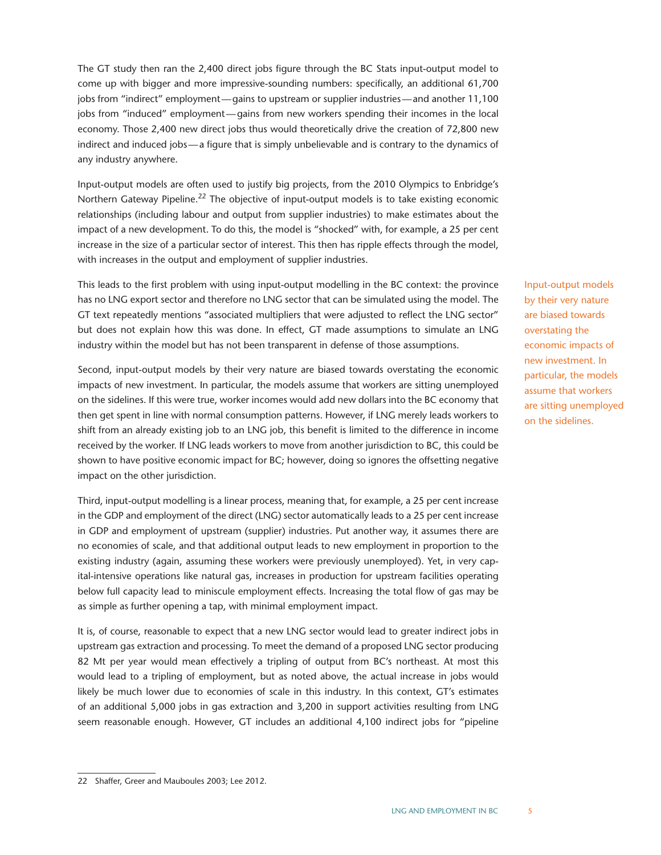The GT study then ran the 2,400 direct jobs figure through the BC Stats input-output model to come up with bigger and more impressive-sounding numbers: specifically, an additional 61,700 jobs from "indirect" employment—gains to upstream or supplier industries—and another 11,100 jobs from "induced" employment—gains from new workers spending their incomes in the local economy. Those 2,400 new direct jobs thus would theoretically drive the creation of 72,800 new indirect and induced jobs—a figure that is simply unbelievable and is contrary to the dynamics of any industry anywhere.

Input-output models are often used to justify big projects, from the 2010 Olympics to Enbridge's Northern Gateway Pipeline.<sup>22</sup> The objective of input-output models is to take existing economic relationships (including labour and output from supplier industries) to make estimates about the impact of a new development. To do this, the model is "shocked" with, for example, a 25 per cent increase in the size of a particular sector of interest. This then has ripple effects through the model, with increases in the output and employment of supplier industries.

This leads to the first problem with using input-output modelling in the BC context: the province has no LNG export sector and therefore no LNG sector that can be simulated using the model. The GT text repeatedly mentions "associated multipliers that were adjusted to reflect the LNG sector" but does not explain how this was done. In effect, GT made assumptions to simulate an LNG industry within the model but has not been transparent in defense of those assumptions.

Second, input-output models by their very nature are biased towards overstating the economic impacts of new investment. In particular, the models assume that workers are sitting unemployed on the sidelines. If this were true, worker incomes would add new dollars into the BC economy that then get spent in line with normal consumption patterns. However, if LNG merely leads workers to shift from an already existing job to an LNG job, this benefit is limited to the difference in income received by the worker. If LNG leads workers to move from another jurisdiction to BC, this could be shown to have positive economic impact for BC; however, doing so ignores the offsetting negative impact on the other jurisdiction.

Third, input-output modelling is a linear process, meaning that, for example, a 25 per cent increase in the GDP and employment of the direct (LNG) sector automatically leads to a 25 per cent increase in GDP and employment of upstream (supplier) industries. Put another way, it assumes there are no economies of scale, and that additional output leads to new employment in proportion to the existing industry (again, assuming these workers were previously unemployed). Yet, in very capital-intensive operations like natural gas, increases in production for upstream facilities operating below full capacity lead to miniscule employment effects. Increasing the total flow of gas may be as simple as further opening a tap, with minimal employment impact.

It is, of course, reasonable to expect that a new LNG sector would lead to greater indirect jobs in upstream gas extraction and processing. To meet the demand of a proposed LNG sector producing 82 Mt per year would mean effectively a tripling of output from BC's northeast. At most this would lead to a tripling of employment, but as noted above, the actual increase in jobs would likely be much lower due to economies of scale in this industry. In this context, GT's estimates of an additional 5,000 jobs in gas extraction and 3,200 in support activities resulting from LNG seem reasonable enough. However, GT includes an additional 4,100 indirect jobs for "pipeline Input-output models by their very nature are biased towards overstating the economic impacts of new investment. In particular, the models assume that workers are sitting unemployed on the sidelines.

<sup>22</sup> Shaffer, Greer and Mauboules 2003; Lee 2012.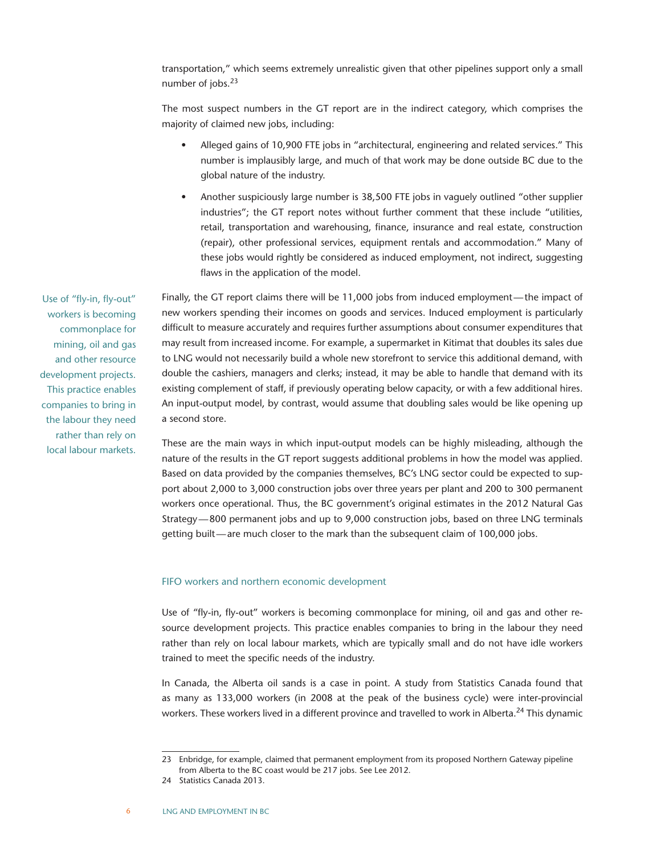transportation," which seems extremely unrealistic given that other pipelines support only a small number of jobs.<sup>23</sup>

The most suspect numbers in the GT report are in the indirect category, which comprises the majority of claimed new jobs, including:

- Alleged gains of 10,900 FTE jobs in "architectural, engineering and related services." This number is implausibly large, and much of that work may be done outside BC due to the global nature of the industry.
- Another suspiciously large number is 38,500 FTE jobs in vaguely outlined "other supplier industries"; the GT report notes without further comment that these include "utilities, retail, transportation and warehousing, finance, insurance and real estate, construction (repair), other professional services, equipment rentals and accommodation." Many of these jobs would rightly be considered as induced employment, not indirect, suggesting flaws in the application of the model.

Finally, the GT report claims there will be 11,000 jobs from induced employment—the impact of new workers spending their incomes on goods and services. Induced employment is particularly difficult to measure accurately and requires further assumptions about consumer expenditures that may result from increased income. For example, a supermarket in Kitimat that doubles its sales due to LNG would not necessarily build a whole new storefront to service this additional demand, with double the cashiers, managers and clerks; instead, it may be able to handle that demand with its existing complement of staff, if previously operating below capacity, or with a few additional hires. An input-output model, by contrast, would assume that doubling sales would be like opening up a second store.

These are the main ways in which input-output models can be highly misleading, although the nature of the results in the GT report suggests additional problems in how the model was applied. Based on data provided by the companies themselves, BC's LNG sector could be expected to support about 2,000 to 3,000 construction jobs over three years per plant and 200 to 300 permanent workers once operational. Thus, the BC government's original estimates in the 2012 Natural Gas Strategy—800 permanent jobs and up to 9,000 construction jobs, based on three LNG terminals getting built—are much closer to the mark than the subsequent claim of 100,000 jobs.

#### FIFO workers and northern economic development

Use of "fly-in, fly-out" workers is becoming commonplace for mining, oil and gas and other resource development projects. This practice enables companies to bring in the labour they need rather than rely on local labour markets, which are typically small and do not have idle workers trained to meet the specific needs of the industry.

In Canada, the Alberta oil sands is a case in point. A study from Statistics Canada found that as many as 133,000 workers (in 2008 at the peak of the business cycle) were inter-provincial workers. These workers lived in a different province and travelled to work in Alberta.<sup>24</sup> This dynamic

Use of "fly-in, fly-out" workers is becoming commonplace for mining, oil and gas and other resource development projects. This practice enables companies to bring in the labour they need rather than rely on local labour markets.

<sup>23</sup> Enbridge, for example, claimed that permanent employment from its proposed Northern Gateway pipeline from Alberta to the BC coast would be 217 jobs. See Lee 2012.

<sup>24</sup> Statistics Canada 2013.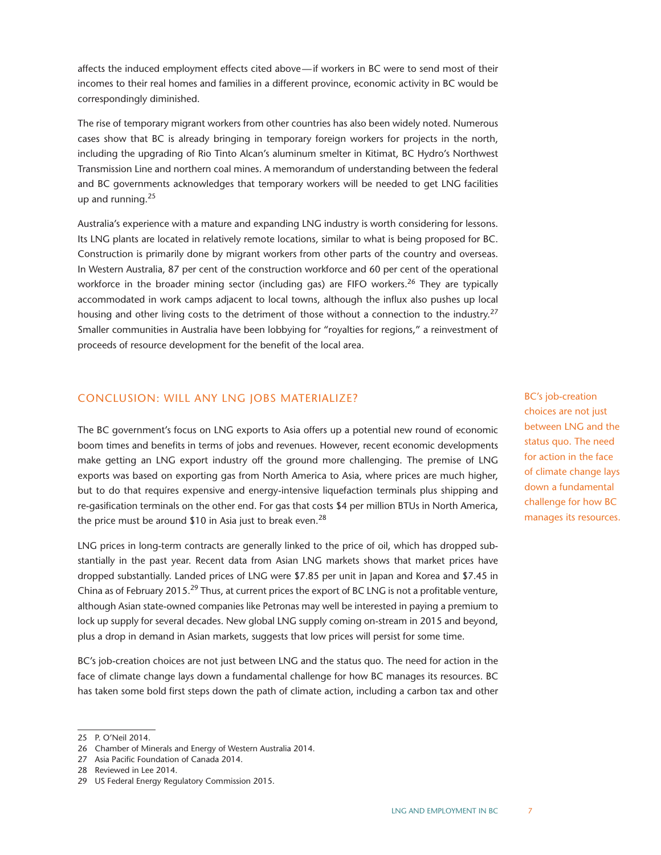affects the induced employment effects cited above—if workers in BC were to send most of their incomes to their real homes and families in a different province, economic activity in BC would be correspondingly diminished.

The rise of temporary migrant workers from other countries has also been widely noted. Numerous cases show that BC is already bringing in temporary foreign workers for projects in the north, including the upgrading of Rio Tinto Alcan's aluminum smelter in Kitimat, BC Hydro's Northwest Transmission Line and northern coal mines. A memorandum of understanding between the federal and BC governments acknowledges that temporary workers will be needed to get LNG facilities up and running.25

Australia's experience with a mature and expanding LNG industry is worth considering for lessons. Its LNG plants are located in relatively remote locations, similar to what is being proposed for BC. Construction is primarily done by migrant workers from other parts of the country and overseas. In Western Australia, 87 per cent of the construction workforce and 60 per cent of the operational workforce in the broader mining sector (including gas) are FIFO workers.<sup>26</sup> They are typically accommodated in work camps adjacent to local towns, although the influx also pushes up local housing and other living costs to the detriment of those without a connection to the industry.<sup>27</sup> Smaller communities in Australia have been lobbying for "royalties for regions," a reinvestment of proceeds of resource development for the benefit of the local area.

# CONCLUSION: WILL ANY LNG JOBS MATERIALIZE?

The BC government's focus on LNG exports to Asia offers up a potential new round of economic boom times and benefits in terms of jobs and revenues. However, recent economic developments make getting an LNG export industry off the ground more challenging. The premise of LNG exports was based on exporting gas from North America to Asia, where prices are much higher, but to do that requires expensive and energy-intensive liquefaction terminals plus shipping and re-gasification terminals on the other end. For gas that costs \$4 per million BTUs in North America, the price must be around \$10 in Asia just to break even.<sup>28</sup>

LNG prices in long-term contracts are generally linked to the price of oil, which has dropped substantially in the past year. Recent data from Asian LNG markets shows that market prices have dropped substantially. Landed prices of LNG were \$7.85 per unit in Japan and Korea and \$7.45 in China as of February 2015.<sup>29</sup> Thus, at current prices the export of BC LNG is not a profitable venture, although Asian state-owned companies like Petronas may well be interested in paying a premium to lock up supply for several decades. New global LNG supply coming on-stream in 2015 and beyond, plus a drop in demand in Asian markets, suggests that low prices will persist for some time.

BC's job-creation choices are not just between LNG and the status quo. The need for action in the face of climate change lays down a fundamental challenge for how BC manages its resources. BC has taken some bold first steps down the path of climate action, including a carbon tax and other BC's job-creation choices are not just between LNG and the status quo. The need for action in the face of climate change lays down a fundamental challenge for how BC manages its resources.

<sup>25</sup> P. O'Neil 2014.

<sup>26</sup> Chamber of Minerals and Energy of Western Australia 2014.

<sup>27</sup> Asia Pacific Foundation of Canada 2014.

<sup>28</sup> Reviewed in Lee 2014.

<sup>29</sup> US Federal Energy Regulatory Commission 2015.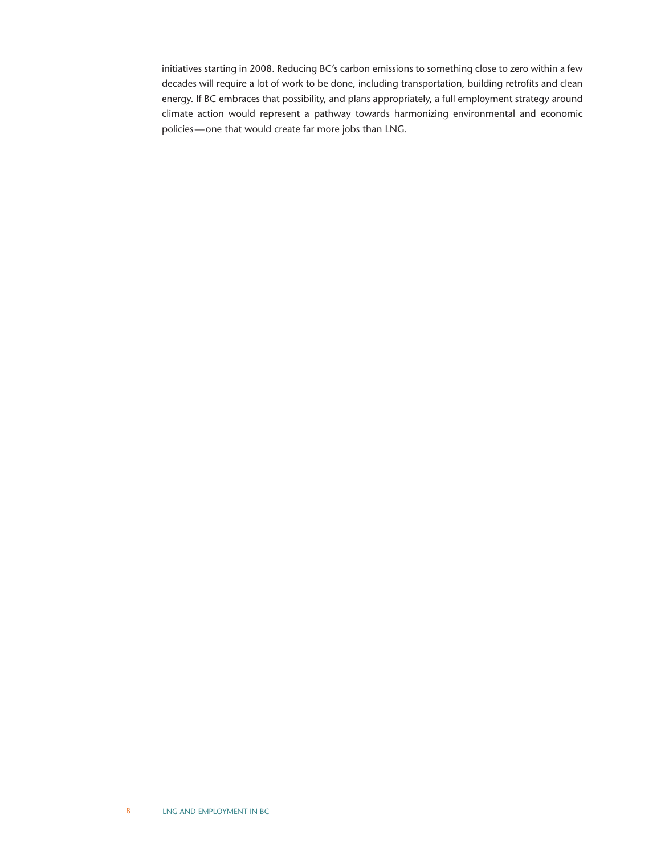initiatives starting in 2008. Reducing BC's carbon emissions to something close to zero within a few decades will require a lot of work to be done, including transportation, building retrofits and clean energy. If BC embraces that possibility, and plans appropriately, a full employment strategy around climate action would represent a pathway towards harmonizing environmental and economic policies—one that would create far more jobs than LNG.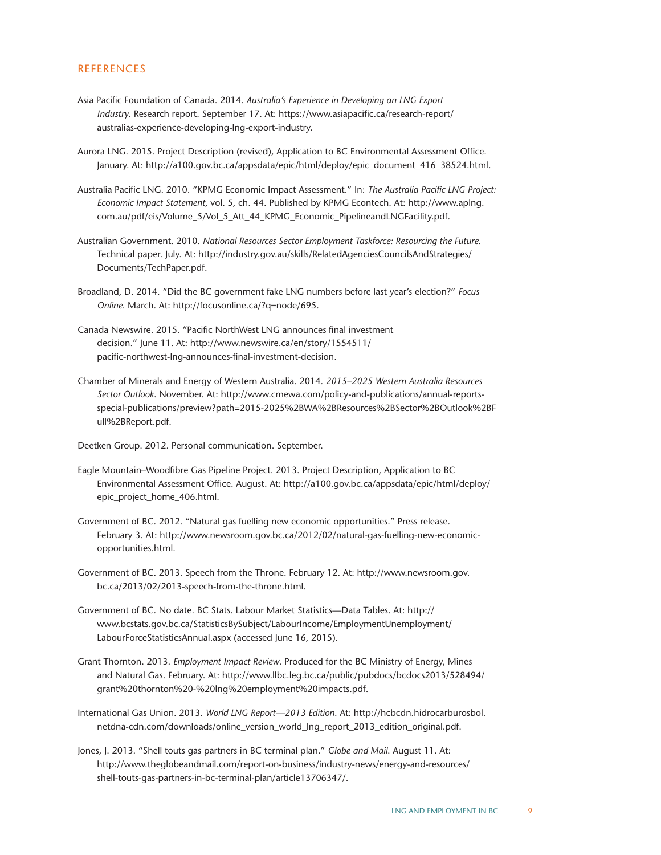## **REFERENCES**

- Asia Pacific Foundation of Canada. 2014. *Australia's Experience in Developing an LNG Export Industry*. Research report. September 17. At: https://www.asiapacific.ca/research-report/ australias-experience-developing-lng-export-industry.
- Aurora LNG. 2015. Project Description (revised), Application to BC Environmental Assessment Office. January. At: http://a100.gov.bc.ca/appsdata/epic/html/deploy/epic\_document\_416\_38524.html.
- Australia Pacific LNG. 2010. "KPMG Economic Impact Assessment." In: *The Australia Pacific LNG Project: Economic Impact Statement*, vol. 5, ch. 44. Published by KPMG Econtech. At: http://www.aplng. com.au/pdf/eis/Volume\_5/Vol\_5\_Att\_44\_KPMG\_Economic\_PipelineandLNGFacility.pdf.
- Australian Government. 2010. *National Resources Sector Employment Taskforce: Resourcing the Future*. Technical paper. July. At: http://industry.gov.au/skills/RelatedAgenciesCouncilsAndStrategies/ Documents/TechPaper.pdf.
- Broadland, D. 2014. "Did the BC government fake LNG numbers before last year's election?" *Focus Online*. March. At: http://focusonline.ca/?q=node/695.
- Canada Newswire. 2015. "Pacific NorthWest LNG announces final investment decision." June 11. At: http://www.newswire.ca/en/story/1554511/ pacific-northwest-lng-announces-final-investment-decision.
- Chamber of Minerals and Energy of Western Australia. 2014. *2015–2025 Western Australia Resources Sector Outlook*. November. At: http://www.cmewa.com/policy-and-publications/annual-reportsspecial-publications/preview?path=2015-2025%2BWA%2BResources%2BSector%2BOutlook%2BF ull%2BReport.pdf.
- Deetken Group. 2012. Personal communication. September.
- Eagle Mountain–Woodfibre Gas Pipeline Project. 2013. Project Description, Application to BC Environmental Assessment Office. August. At: http://a100.gov.bc.ca/appsdata/epic/html/deploy/ epic\_project\_home\_406.html.
- Government of BC. 2012. "Natural gas fuelling new economic opportunities." Press release. February 3. At: http://www.newsroom.gov.bc.ca/2012/02/natural-gas-fuelling-new-economicopportunities.html.
- Government of BC. 2013. Speech from the Throne. February 12. At: http://www.newsroom.gov. bc.ca/2013/02/2013-speech-from-the-throne.html.
- Government of BC. No date. BC Stats. Labour Market Statistics—Data Tables. At: http:// www.bcstats.gov.bc.ca/StatisticsBySubject/LabourIncome/EmploymentUnemployment/ LabourForceStatisticsAnnual.aspx (accessed June 16, 2015).
- Grant Thornton. 2013. *Employment Impact Review*. Produced for the BC Ministry of Energy, Mines and Natural Gas. February. At: http://www.llbc.leg.bc.ca/public/pubdocs/bcdocs2013/528494/ grant%20thornton%20-%20lng%20employment%20impacts.pdf.
- International Gas Union. 2013. *World LNG Report—2013 Edition*. At: http://hcbcdn.hidrocarburosbol. netdna-cdn.com/downloads/online\_version\_world\_lng\_report\_2013\_edition\_original.pdf.
- Jones, J. 2013. "Shell touts gas partners in BC terminal plan." *Globe and Mail*. August 11. At: http://www.theglobeandmail.com/report-on-business/industry-news/energy-and-resources/ shell-touts-gas-partners-in-bc-terminal-plan/article13706347/.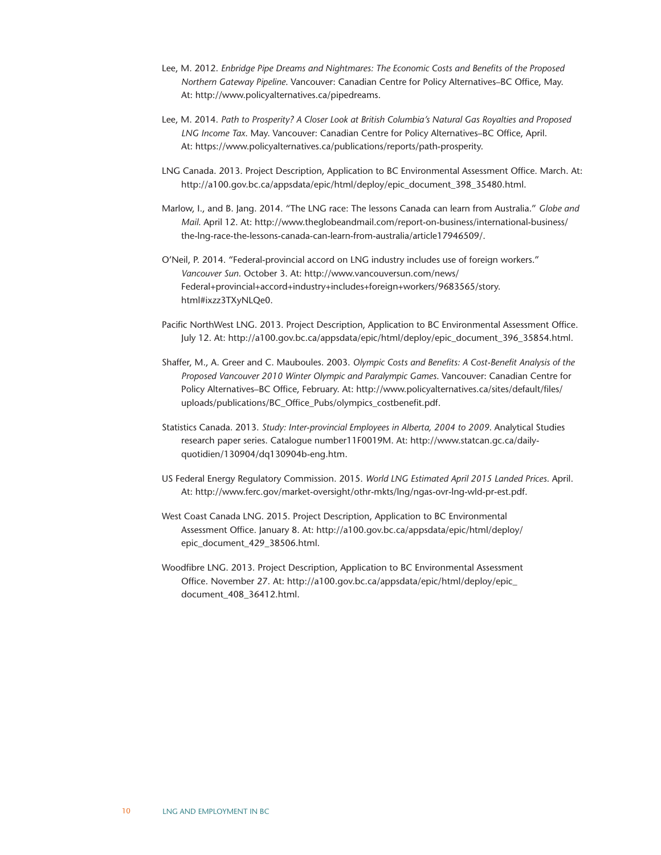- Lee, M. 2012. *Enbridge Pipe Dreams and Nightmares: The Economic Costs and Benefits of the Proposed Northern Gateway Pipeline*. Vancouver: Canadian Centre for Policy Alternatives–BC Office, May. At: http://www.policyalternatives.ca/pipedreams.
- Lee, M. 2014. *Path to Prosperity? A Closer Look at British Columbia's Natural Gas Royalties and Proposed LNG Income Tax*. May. Vancouver: Canadian Centre for Policy Alternatives–BC Office, April. At: https://www.policyalternatives.ca/publications/reports/path-prosperity.
- LNG Canada. 2013. Project Description, Application to BC Environmental Assessment Office. March. At: http://a100.gov.bc.ca/appsdata/epic/html/deploy/epic\_document\_398\_35480.html.
- Marlow, I., and B. Jang. 2014. "The LNG race: The lessons Canada can learn from Australia." *Globe and Mail*. April 12. At: http://www.theglobeandmail.com/report-on-business/international-business/ the-lng-race-the-lessons-canada-can-learn-from-australia/article17946509/.
- O'Neil, P. 2014. "Federal-provincial accord on LNG industry includes use of foreign workers." *Vancouver Sun*. October 3. At: http://www.vancouversun.com/news/ Federal+provincial+accord+industry+includes+foreign+workers/9683565/story. html#ixzz3TXyNLQe0.
- Pacific NorthWest LNG. 2013. Project Description, Application to BC Environmental Assessment Office. July 12. At: http://a100.gov.bc.ca/appsdata/epic/html/deploy/epic\_document\_396\_35854.html.
- Shaffer, M., A. Greer and C. Mauboules. 2003. *Olympic Costs and Benefits: A Cost-Benefit Analysis of the Proposed Vancouver 2010 Winter Olympic and Paralympic Games*. Vancouver: Canadian Centre for Policy Alternatives–BC Office, February. At: http://www.policyalternatives.ca/sites/default/files/ uploads/publications/BC\_Office\_Pubs/olympics\_costbenefit.pdf.
- Statistics Canada. 2013. *Study: Inter-provincial Employees in Alberta, 2004 to 2009*. Analytical Studies research paper series. Catalogue number11F0019M. At: http://www.statcan.gc.ca/dailyquotidien/130904/dq130904b-eng.htm.
- US Federal Energy Regulatory Commission. 2015. *World LNG Estimated April 2015 Landed Prices*. April. At: http://www.ferc.gov/market-oversight/othr-mkts/lng/ngas-ovr-lng-wld-pr-est.pdf.
- West Coast Canada LNG. 2015. Project Description, Application to BC Environmental Assessment Office. January 8. At: http://a100.gov.bc.ca/appsdata/epic/html/deploy/ epic\_document\_429\_38506.html.
- Woodfibre LNG. 2013. Project Description, Application to BC Environmental Assessment Office. November 27. At: http://a100.gov.bc.ca/appsdata/epic/html/deploy/epic\_ document\_408\_36412.html.